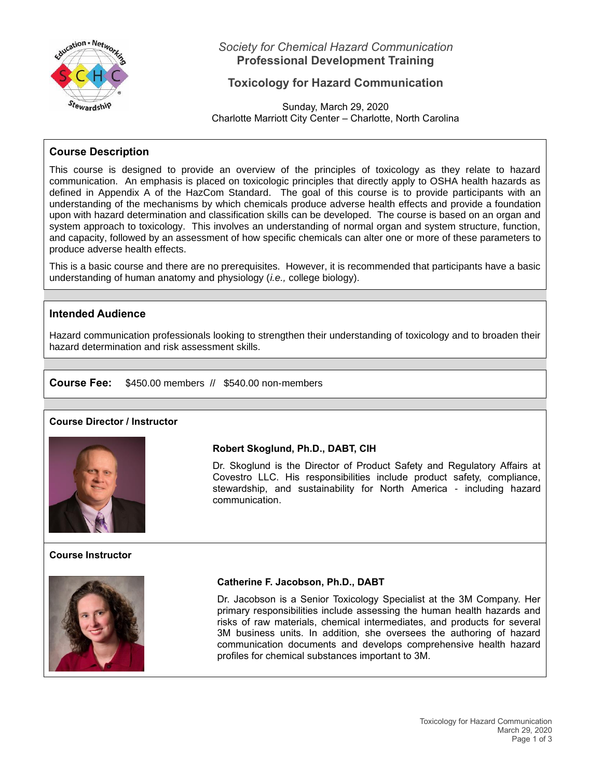

*Society for Chemical Hazard Communication* **Professional Development Training**

# **Toxicology for Hazard Communication**

Sunday, March 29, 2020 Charlotte Marriott City Center – Charlotte, North Carolina

## **Course Description**

This course is designed to provide an overview of the principles of toxicology as they relate to hazard communication. An emphasis is placed on toxicologic principles that directly apply to OSHA health hazards as defined in Appendix A of the HazCom Standard. The goal of this course is to provide participants with an understanding of the mechanisms by which chemicals produce adverse health effects and provide a foundation upon with hazard determination and classification skills can be developed. The course is based on an organ and system approach to toxicology. This involves an understanding of normal organ and system structure, function, and capacity, followed by an assessment of how specific chemicals can alter one or more of these parameters to produce adverse health effects.

This is a basic course and there are no prerequisites. However, it is recommended that participants have a basic understanding of human anatomy and physiology (*i.e.,* college biology).

## **Intended Audience**

Hazard communication professionals looking to strengthen their understanding of toxicology and to broaden their hazard determination and risk assessment skills.

**Course Fee:** \$450.00 members // \$540.00 non-members

## **Course Director / Instructor**



## **Course Instructor**



### **Robert Skoglund, Ph.D., DABT, CIH**

Dr. Skoglund is the Director of Product Safety and Regulatory Affairs at Covestro LLC. His responsibilities include product safety, compliance, stewardship, and sustainability for North America - including hazard communication.

## **Catherine F. Jacobson, Ph.D., DABT**

Dr. Jacobson is a Senior Toxicology Specialist at the 3M Company. Her primary responsibilities include assessing the human health hazards and risks of raw materials, chemical intermediates, and products for several 3M business units. In addition, she oversees the authoring of hazard communication documents and develops comprehensive health hazard profiles for chemical substances important to 3M.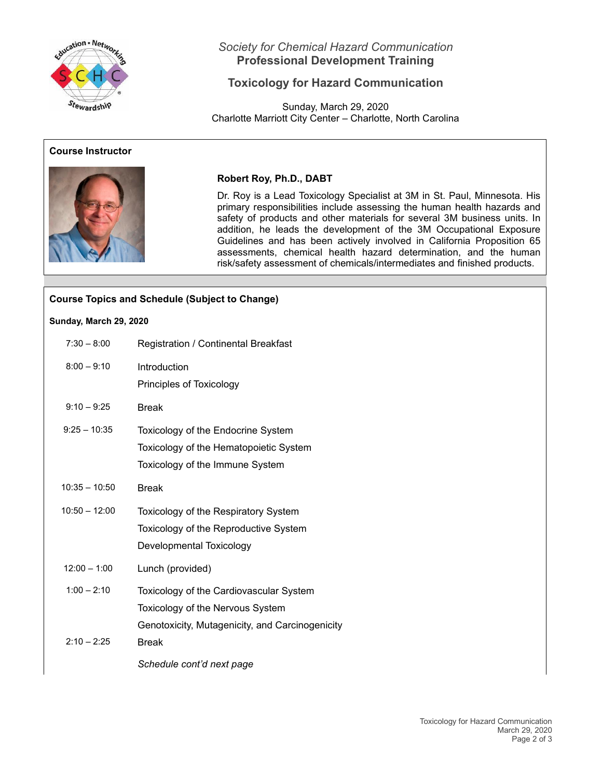

# *Society for Chemical Hazard Communication* **Professional Development Training**

# **Toxicology for Hazard Communication**

Sunday, March 29, 2020 Charlotte Marriott City Center – Charlotte, North Carolina

## **Course Instructor**



## **Robert Roy, Ph.D., DABT**

Dr. Roy is a Lead Toxicology Specialist at 3M in St. Paul, Minnesota. His primary responsibilities include assessing the human health hazards and safety of products and other materials for several 3M business units. In addition, he leads the development of the 3M Occupational Exposure Guidelines and has been actively involved in California Proposition 65 assessments, chemical health hazard determination, and the human risk/safety assessment of chemicals/intermediates and finished products.

| <b>Course Topics and Schedule (Subject to Change)</b> |                                                 |  |
|-------------------------------------------------------|-------------------------------------------------|--|
| Sunday, March 29, 2020                                |                                                 |  |
| $7:30 - 8:00$                                         | Registration / Continental Breakfast            |  |
| $8:00 - 9:10$                                         | Introduction                                    |  |
|                                                       | Principles of Toxicology                        |  |
| $9:10 - 9:25$                                         | <b>Break</b>                                    |  |
| $9:25 - 10:35$                                        | Toxicology of the Endocrine System              |  |
|                                                       | Toxicology of the Hematopoietic System          |  |
|                                                       | Toxicology of the Immune System                 |  |
| $10:35 - 10:50$                                       | <b>Break</b>                                    |  |
| $10:50 - 12:00$                                       | Toxicology of the Respiratory System            |  |
|                                                       | Toxicology of the Reproductive System           |  |
|                                                       | Developmental Toxicology                        |  |
| $12:00 - 1:00$                                        | Lunch (provided)                                |  |
| $1:00 - 2:10$                                         | Toxicology of the Cardiovascular System         |  |
|                                                       | Toxicology of the Nervous System                |  |
|                                                       | Genotoxicity, Mutagenicity, and Carcinogenicity |  |
| $2:10 - 2:25$                                         | <b>Break</b>                                    |  |
|                                                       | Schedule cont'd next page                       |  |